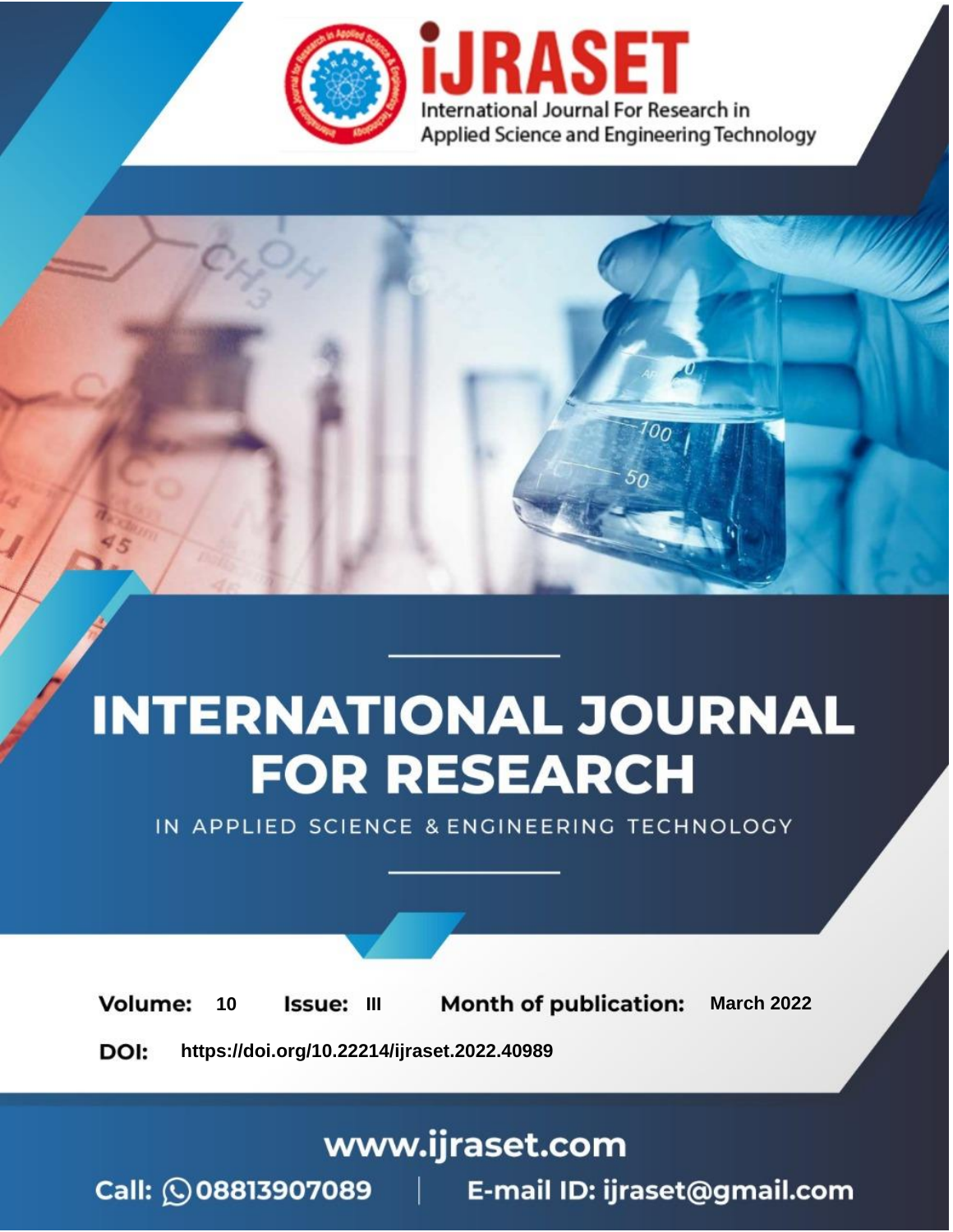

# **INTERNATIONAL JOURNAL FOR RESEARCH**

IN APPLIED SCIENCE & ENGINEERING TECHNOLOGY

10 **Issue: III Month of publication:** March 2022 **Volume:** 

**https://doi.org/10.22214/ijraset.2022.40989**DOI:

www.ijraset.com

Call: 008813907089 | E-mail ID: ijraset@gmail.com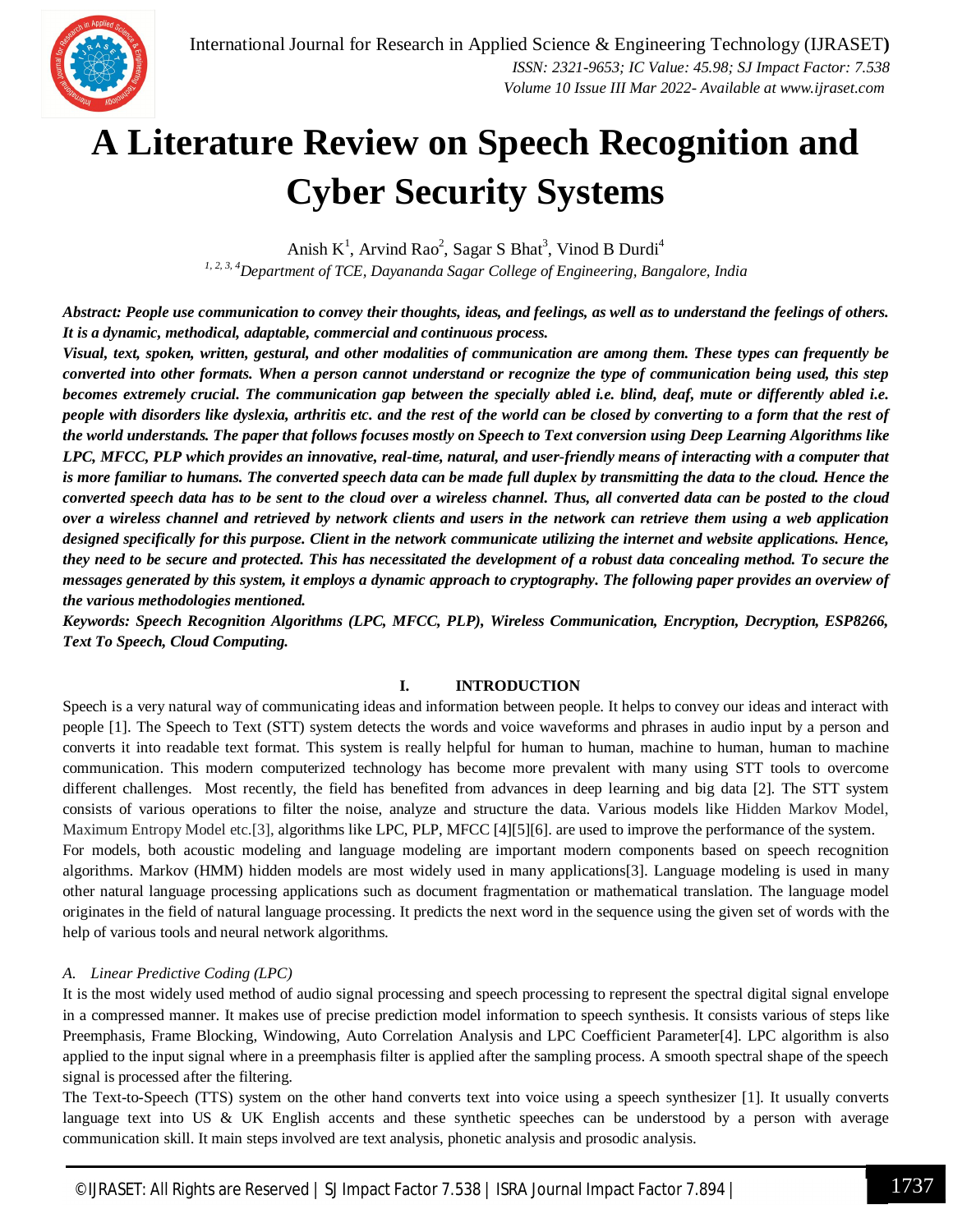

## **A Literature Review on Speech Recognition and Cyber Security Systems**

Anish  $K^1$ , Arvind Rao<sup>2</sup>, Sagar S Bhat<sup>3</sup>, Vinod B Durdi<sup>4</sup> *1, 2, 3, 4Department of TCE, Dayananda Sagar College of Engineering, Bangalore, India*

*Abstract: People use communication to convey their thoughts, ideas, and feelings, as well as to understand the feelings of others. It is a dynamic, methodical, adaptable, commercial and continuous process.*

*Visual, text, spoken, written, gestural, and other modalities of communication are among them. These types can frequently be converted into other formats. When a person cannot understand or recognize the type of communication being used, this step becomes extremely crucial. The communication gap between the specially abled i.e. blind, deaf, mute or differently abled i.e. people with disorders like dyslexia, arthritis etc. and the rest of the world can be closed by converting to a form that the rest of the world understands. The paper that follows focuses mostly on Speech to Text conversion using Deep Learning Algorithms like LPC, MFCC, PLP which provides an innovative, real-time, natural, and user-friendly means of interacting with a computer that is more familiar to humans. The converted speech data can be made full duplex by transmitting the data to the cloud. Hence the converted speech data has to be sent to the cloud over a wireless channel. Thus, all converted data can be posted to the cloud over a wireless channel and retrieved by network clients and users in the network can retrieve them using a web application designed specifically for this purpose. Client in the network communicate utilizing the internet and website applications. Hence, they need to be secure and protected. This has necessitated the development of a robust data concealing method. To secure the messages generated by this system, it employs a dynamic approach to cryptography. The following paper provides an overview of the various methodologies mentioned.*

*Keywords: Speech Recognition Algorithms (LPC, MFCC, PLP), Wireless Communication, Encryption, Decryption, ESP8266, Text To Speech, Cloud Computing.*

## **I. INTRODUCTION**

Speech is a very natural way of communicating ideas and information between people. It helps to convey our ideas and interact with people [1]. The Speech to Text (STT) system detects the words and voice waveforms and phrases in audio input by a person and converts it into readable text format. This system is really helpful for human to human, machine to human, human to machine communication. This modern computerized technology has become more prevalent with many using STT tools to overcome different challenges. Most recently, the field has benefited from advances in deep learning and big data [2]. The STT system consists of various operations to filter the noise, analyze and structure the data. Various models like Hidden Markov Model, Maximum Entropy Model etc.[3], algorithms like LPC, PLP, MFCC [4][5][6]. are used to improve the performance of the system. For models, both acoustic modeling and language modeling are important modern components based on speech recognition algorithms. Markov (HMM) hidden models are most widely used in many applications[3]. Language modeling is used in many other natural language processing applications such as document fragmentation or mathematical translation. The language model originates in the field of natural language processing. It predicts the next word in the sequence using the given set of words with the help of various tools and neural network algorithms.

## *A. Linear Predictive Coding (LPC)*

It is the most widely used method of audio signal processing and speech processing to represent the spectral digital signal envelope in a compressed manner. It makes use of precise prediction model information to speech synthesis. It consists various of steps like Preemphasis, Frame Blocking, Windowing, Auto Correlation Analysis and LPC Coefficient Parameter[4]. LPC algorithm is also applied to the input signal where in a preemphasis filter is applied after the sampling process. A smooth spectral shape of the speech signal is processed after the filtering.

The Text-to-Speech (TTS) system on the other hand converts text into voice using a speech synthesizer [1]. It usually converts language text into US & UK English accents and these synthetic speeches can be understood by a person with average communication skill. It main steps involved are text analysis, phonetic analysis and prosodic analysis.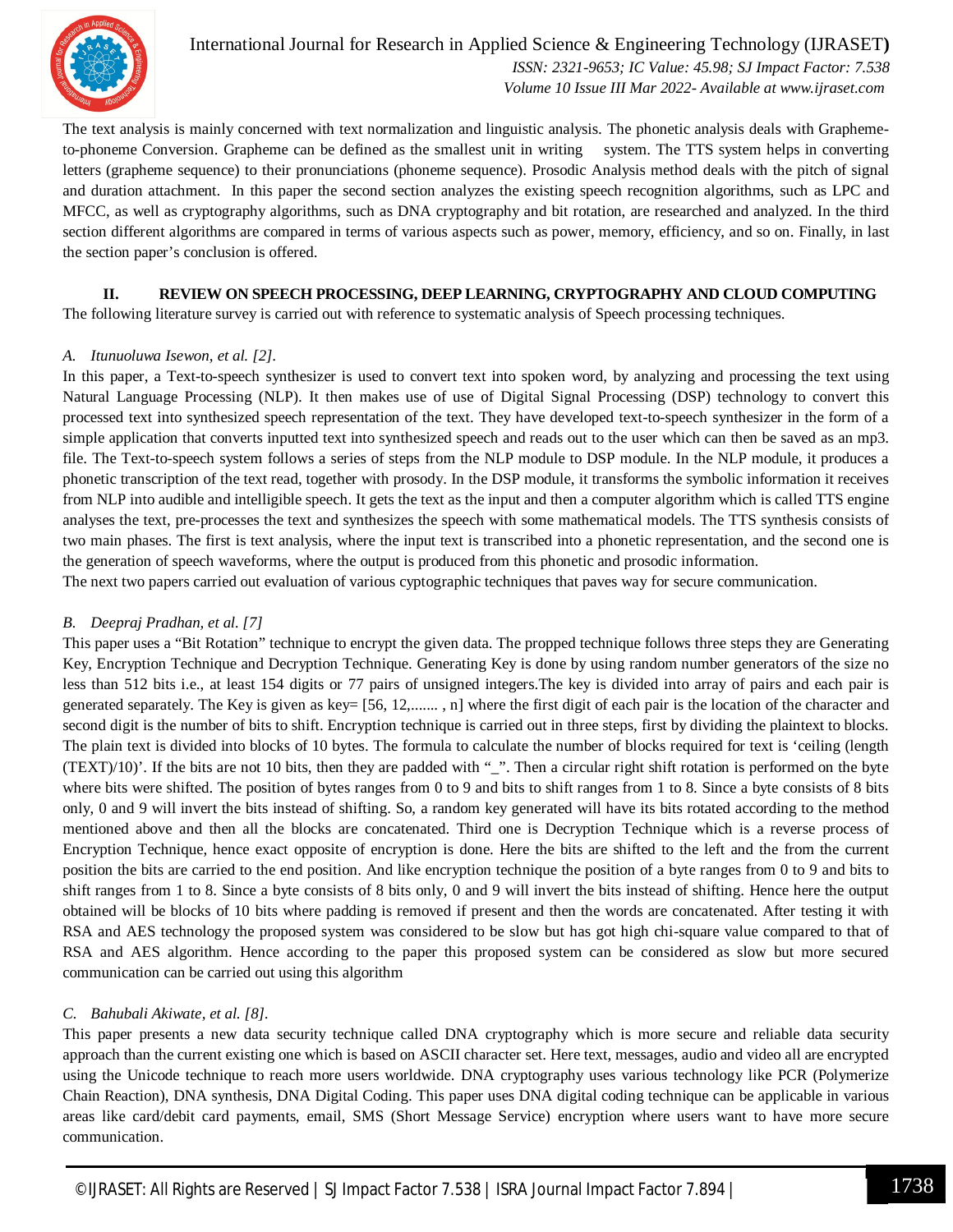

International Journal for Research in Applied Science & Engineering Technology (IJRASET**)**  *ISSN: 2321-9653; IC Value: 45.98; SJ Impact Factor: 7.538 Volume 10 Issue III Mar 2022- Available at www.ijraset.com*

The text analysis is mainly concerned with text normalization and linguistic analysis. The phonetic analysis deals with Graphemeto-phoneme Conversion. Grapheme can be defined as the smallest unit in writing system. The TTS system helps in converting letters (grapheme sequence) to their pronunciations (phoneme sequence). Prosodic Analysis method deals with the pitch of signal and duration attachment. In this paper the second section analyzes the existing speech recognition algorithms, such as LPC and MFCC, as well as cryptography algorithms, such as DNA cryptography and bit rotation, are researched and analyzed. In the third section different algorithms are compared in terms of various aspects such as power, memory, efficiency, and so on. Finally, in last the section paper's conclusion is offered.

## **II. REVIEW ON SPEECH PROCESSING, DEEP LEARNING, CRYPTOGRAPHY AND CLOUD COMPUTING**

The following literature survey is carried out with reference to systematic analysis of Speech processing techniques.

## *A. Itunuoluwa Isewon, et al. [2].*

In this paper, a Text-to-speech synthesizer is used to convert text into spoken word, by analyzing and processing the text using Natural Language Processing (NLP). It then makes use of use of Digital Signal Processing (DSP) technology to convert this processed text into synthesized speech representation of the text. They have developed text-to-speech synthesizer in the form of a simple application that converts inputted text into synthesized speech and reads out to the user which can then be saved as an mp3. file. The Text-to-speech system follows a series of steps from the NLP module to DSP module. In the NLP module, it produces a phonetic transcription of the text read, together with prosody. In the DSP module, it transforms the symbolic information it receives from NLP into audible and intelligible speech. It gets the text as the input and then a computer algorithm which is called TTS engine analyses the text, pre-processes the text and synthesizes the speech with some mathematical models. The TTS synthesis consists of two main phases. The first is text analysis, where the input text is transcribed into a phonetic representation, and the second one is the generation of speech waveforms, where the output is produced from this phonetic and prosodic information.

The next two papers carried out evaluation of various cyptographic techniques that paves way for secure communication.

## *B. Deepraj Pradhan, et al. [7]*

This paper uses a "Bit Rotation" technique to encrypt the given data. The propped technique follows three steps they are Generating Key, Encryption Technique and Decryption Technique. Generating Key is done by using random number generators of the size no less than 512 bits i.e., at least 154 digits or 77 pairs of unsigned integers.The key is divided into array of pairs and each pair is generated separately. The Key is given as key= [56, 12,....... , n] where the first digit of each pair is the location of the character and second digit is the number of bits to shift. Encryption technique is carried out in three steps, first by dividing the plaintext to blocks. The plain text is divided into blocks of 10 bytes. The formula to calculate the number of blocks required for text is 'ceiling (length  $(TEXT)/10)$ . If the bits are not 10 bits, then they are padded with " $"$ . Then a circular right shift rotation is performed on the byte where bits were shifted. The position of bytes ranges from 0 to 9 and bits to shift ranges from 1 to 8. Since a byte consists of 8 bits only, 0 and 9 will invert the bits instead of shifting. So, a random key generated will have its bits rotated according to the method mentioned above and then all the blocks are concatenated. Third one is Decryption Technique which is a reverse process of Encryption Technique, hence exact opposite of encryption is done. Here the bits are shifted to the left and the from the current position the bits are carried to the end position. And like encryption technique the position of a byte ranges from 0 to 9 and bits to shift ranges from 1 to 8. Since a byte consists of 8 bits only, 0 and 9 will invert the bits instead of shifting. Hence here the output obtained will be blocks of 10 bits where padding is removed if present and then the words are concatenated. After testing it with RSA and AES technology the proposed system was considered to be slow but has got high chi-square value compared to that of RSA and AES algorithm. Hence according to the paper this proposed system can be considered as slow but more secured communication can be carried out using this algorithm

## *C. Bahubali Akiwate, et al. [8].*

This paper presents a new data security technique called DNA cryptography which is more secure and reliable data security approach than the current existing one which is based on ASCII character set. Here text, messages, audio and video all are encrypted using the Unicode technique to reach more users worldwide. DNA cryptography uses various technology like PCR (Polymerize Chain Reaction), DNA synthesis, DNA Digital Coding. This paper uses DNA digital coding technique can be applicable in various areas like card/debit card payments, email, SMS (Short Message Service) encryption where users want to have more secure communication.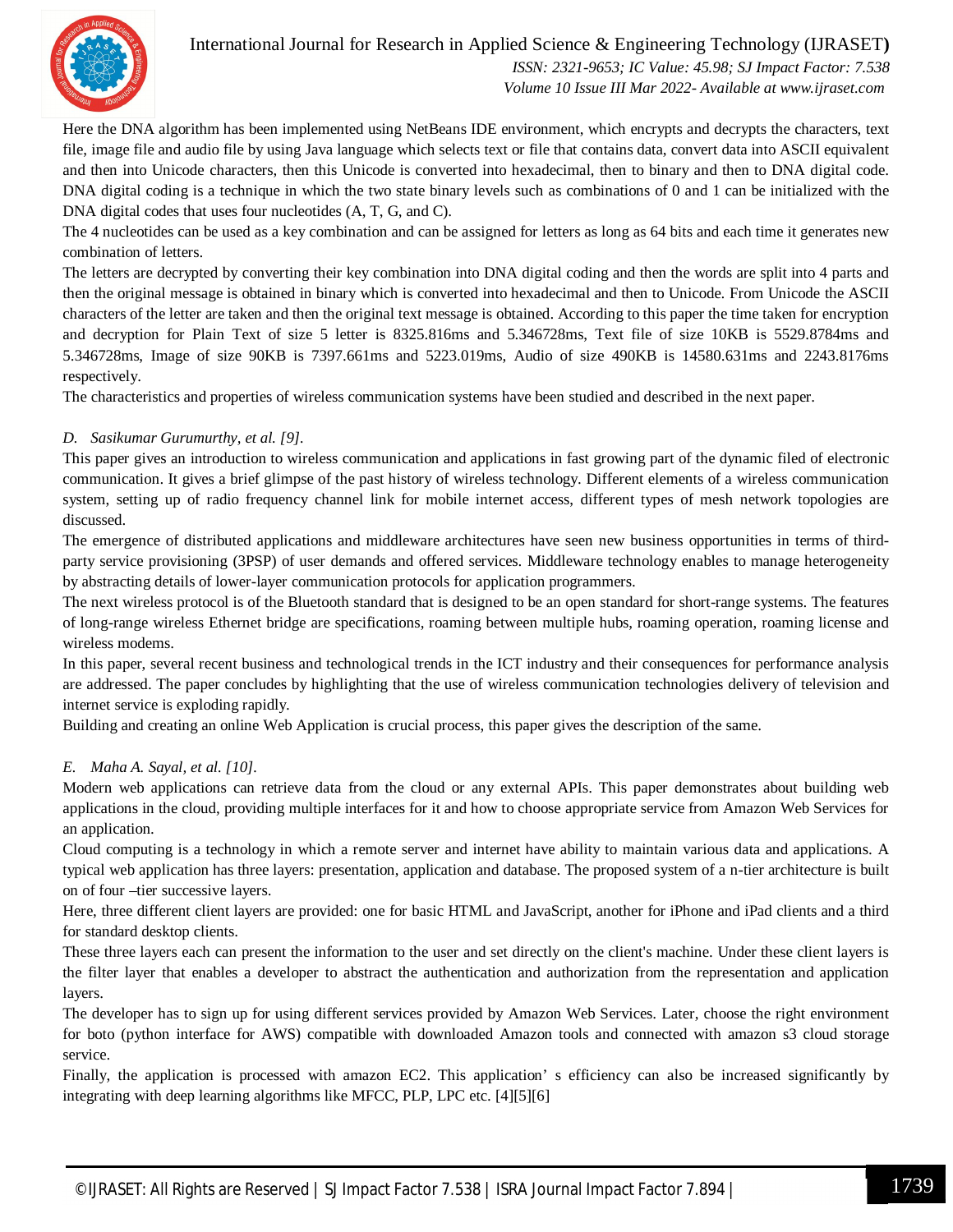

## International Journal for Research in Applied Science & Engineering Technology (IJRASET**)**

 *ISSN: 2321-9653; IC Value: 45.98; SJ Impact Factor: 7.538 Volume 10 Issue III Mar 2022- Available at www.ijraset.com*

Here the DNA algorithm has been implemented using NetBeans IDE environment, which encrypts and decrypts the characters, text file, image file and audio file by using Java language which selects text or file that contains data, convert data into ASCII equivalent and then into Unicode characters, then this Unicode is converted into hexadecimal, then to binary and then to DNA digital code. DNA digital coding is a technique in which the two state binary levels such as combinations of 0 and 1 can be initialized with the DNA digital codes that uses four nucleotides  $(A, T, G, and C)$ .

The 4 nucleotides can be used as a key combination and can be assigned for letters as long as 64 bits and each time it generates new combination of letters.

The letters are decrypted by converting their key combination into DNA digital coding and then the words are split into 4 parts and then the original message is obtained in binary which is converted into hexadecimal and then to Unicode. From Unicode the ASCII characters of the letter are taken and then the original text message is obtained. According to this paper the time taken for encryption and decryption for Plain Text of size 5 letter is 8325.816ms and 5.346728ms, Text file of size 10KB is 5529.8784ms and 5.346728ms, Image of size 90KB is 7397.661ms and 5223.019ms, Audio of size 490KB is 14580.631ms and 2243.8176ms respectively.

The characteristics and properties of wireless communication systems have been studied and described in the next paper.

## *D. Sasikumar Gurumurthy, et al. [9].*

This paper gives an introduction to wireless communication and applications in fast growing part of the dynamic filed of electronic communication. It gives a brief glimpse of the past history of wireless technology. Different elements of a wireless communication system, setting up of radio frequency channel link for mobile internet access, different types of mesh network topologies are discussed.

The emergence of distributed applications and middleware architectures have seen new business opportunities in terms of thirdparty service provisioning (3PSP) of user demands and offered services. Middleware technology enables to manage heterogeneity by abstracting details of lower-layer communication protocols for application programmers.

The next wireless protocol is of the Bluetooth standard that is designed to be an open standard for short-range systems. The features of long-range wireless Ethernet bridge are specifications, roaming between multiple hubs, roaming operation, roaming license and wireless modems.

In this paper, several recent business and technological trends in the ICT industry and their consequences for performance analysis are addressed. The paper concludes by highlighting that the use of wireless communication technologies delivery of television and internet service is exploding rapidly.

Building and creating an online Web Application is crucial process, this paper gives the description of the same.

## *E. Maha A. Sayal, et al. [10].*

Modern web applications can retrieve data from the cloud or any external APIs. This paper demonstrates about building web applications in the cloud, providing multiple interfaces for it and how to choose appropriate service from Amazon Web Services for an application.

Cloud computing is a technology in which a remote server and internet have ability to maintain various data and applications. A typical web application has three layers: presentation, application and database. The proposed system of a n-tier architecture is built on of four –tier successive layers.

Here, three different client layers are provided: one for basic HTML and JavaScript, another for iPhone and iPad clients and a third for standard desktop clients.

These three layers each can present the information to the user and set directly on the client's machine. Under these client layers is the filter layer that enables a developer to abstract the authentication and authorization from the representation and application layers.

The developer has to sign up for using different services provided by Amazon Web Services. Later, choose the right environment for boto (python interface for AWS) compatible with downloaded Amazon tools and connected with amazon s3 cloud storage service.

Finally, the application is processed with amazon EC2. This application' s efficiency can also be increased significantly by integrating with deep learning algorithms like MFCC, PLP, LPC etc. [4][5][6]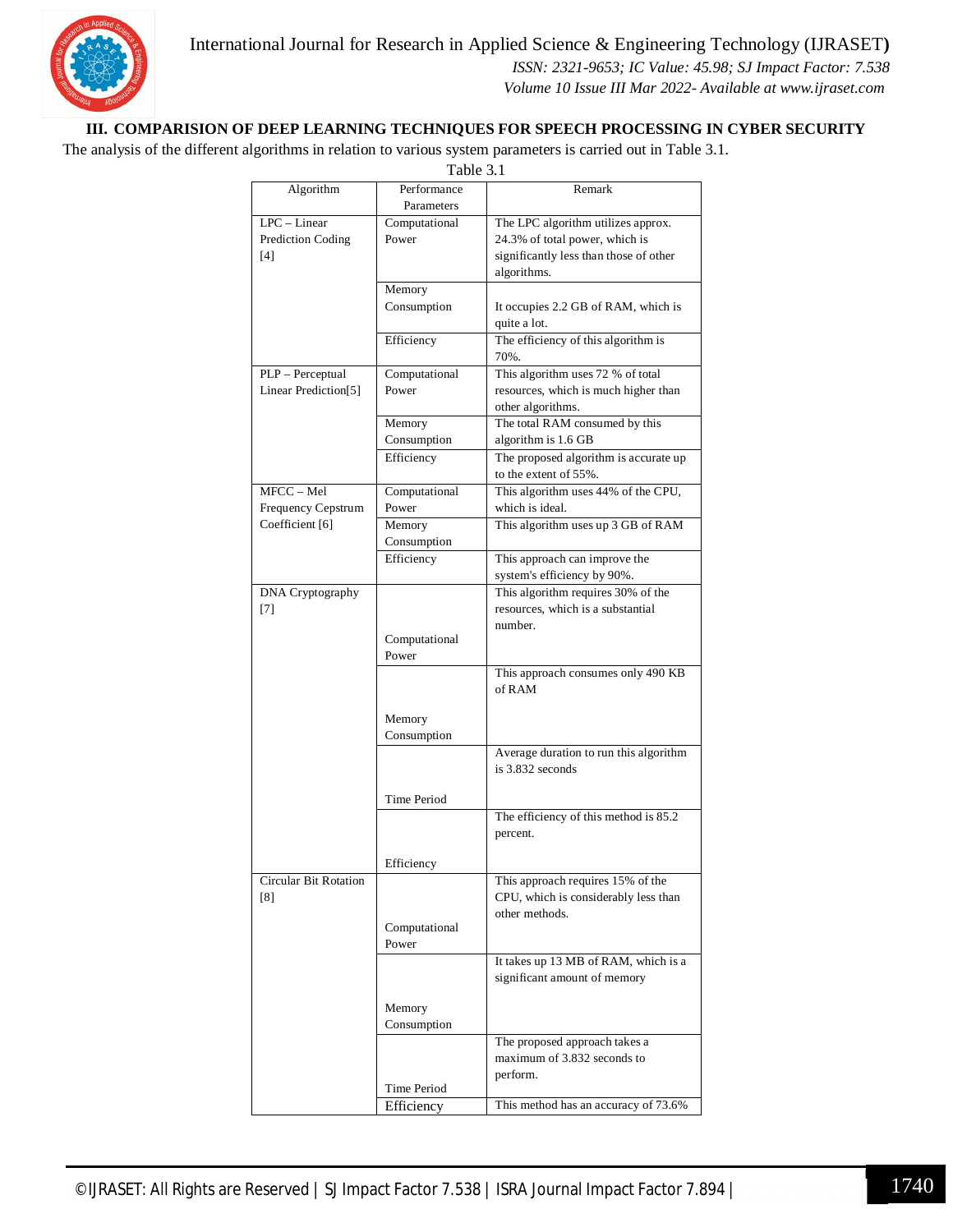

International Journal for Research in Applied Science & Engineering Technology (IJRASET**)**

 *ISSN: 2321-9653; IC Value: 45.98; SJ Impact Factor: 7.538 Volume 10 Issue III Mar 2022- Available at www.ijraset.com*

## **III. COMPARISION OF DEEP LEARNING TECHNIQUES FOR SPEECH PROCESSING IN CYBER SECURITY**

The analysis of the different algorithms in relation to various system parameters is carried out in Table 3.1.

| Table 3.1                                |                           |                                                                                                                               |
|------------------------------------------|---------------------------|-------------------------------------------------------------------------------------------------------------------------------|
| Algorithm                                | Performance<br>Parameters | Remark                                                                                                                        |
| $LPC-Linear$<br>Prediction Coding<br>[4] | Computational<br>Power    | The LPC algorithm utilizes approx.<br>24.3% of total power, which is<br>significantly less than those of other<br>algorithms. |
|                                          | Memory<br>Consumption     | It occupies 2.2 GB of RAM, which is<br>quite a lot.                                                                           |
|                                          | Efficiency                | The efficiency of this algorithm is<br>70%.                                                                                   |
| PLP - Perceptual<br>Linear Prediction[5] | Computational<br>Power    | This algorithm uses 72 % of total<br>resources, which is much higher than<br>other algorithms.                                |
|                                          | Memory<br>Consumption     | The total RAM consumed by this<br>algorithm is 1.6 GB                                                                         |
|                                          | Efficiency                | The proposed algorithm is accurate up<br>to the extent of 55%.                                                                |
| MFCC - Mel<br><b>Frequency Cepstrum</b>  | Computational<br>Power    | This algorithm uses 44% of the CPU,<br>which is ideal.                                                                        |
| Coefficient [6]                          | Memory<br>Consumption     | This algorithm uses up 3 GB of RAM                                                                                            |
|                                          | Efficiency                | This approach can improve the<br>system's efficiency by 90%.                                                                  |
| DNA Cryptography<br>[7]                  | Computational<br>Power    | This algorithm requires 30% of the<br>resources, which is a substantial<br>number.                                            |
|                                          | Memory<br>Consumption     | This approach consumes only 490 KB<br>of RAM                                                                                  |
|                                          | Time Period               | Average duration to run this algorithm<br>is $3.832$ seconds                                                                  |
|                                          |                           | The efficiency of this method is 85.2<br>percent.                                                                             |
| Circular Bit Rotation                    | Efficiency                | This approach requires 15% of the                                                                                             |
| [8]                                      | Computational             | CPU, which is considerably less than<br>other methods.                                                                        |
|                                          | Power                     | It takes up 13 MB of RAM, which is a<br>significant amount of memory                                                          |
|                                          | Memory<br>Consumption     |                                                                                                                               |
|                                          |                           | The proposed approach takes a<br>maximum of 3.832 seconds to<br>perform.                                                      |
|                                          | Time Period<br>Efficiency | This method has an accuracy of 73.6%                                                                                          |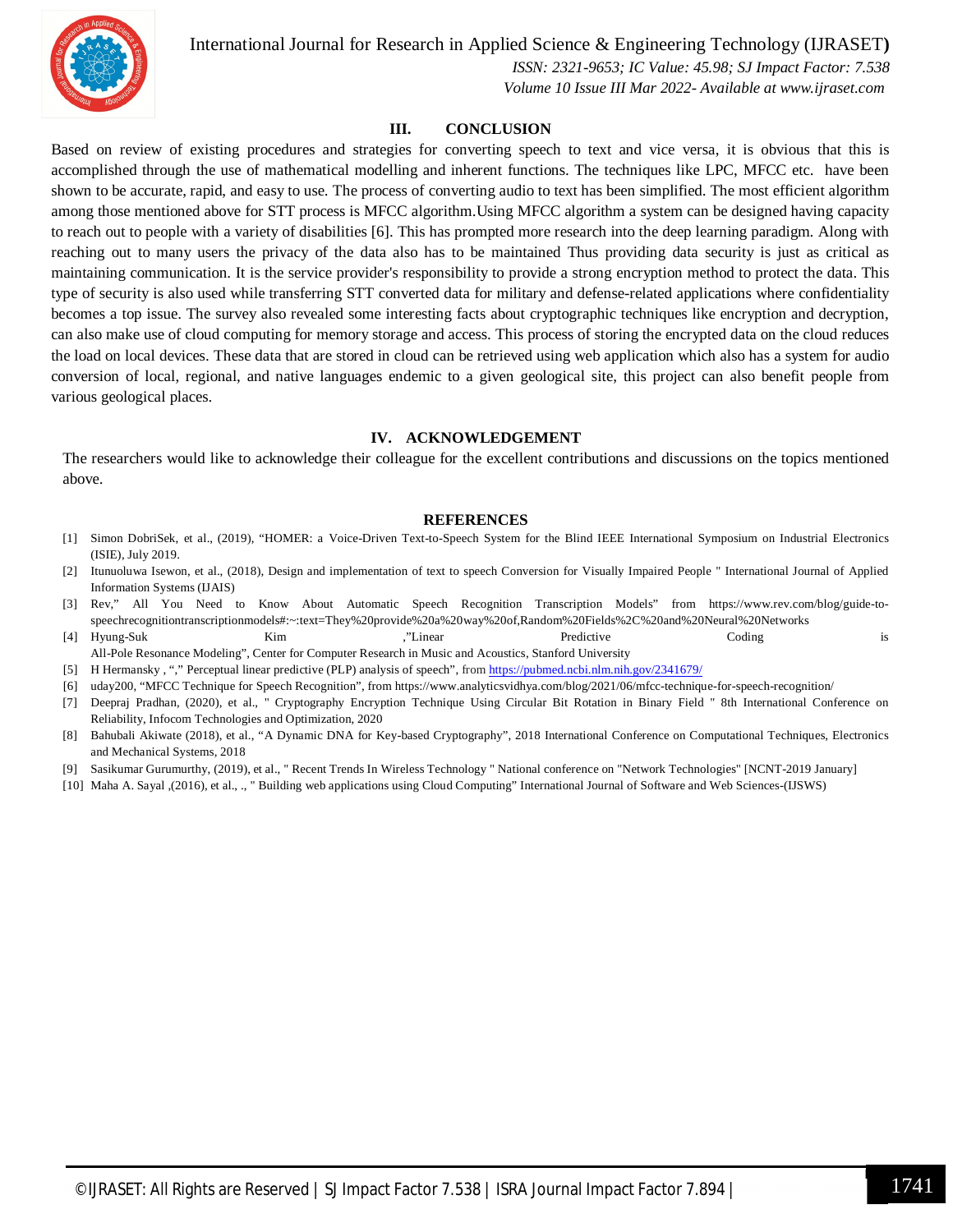

International Journal for Research in Applied Science & Engineering Technology (IJRASET**)**

 *ISSN: 2321-9653; IC Value: 45.98; SJ Impact Factor: 7.538 Volume 10 Issue III Mar 2022- Available at www.ijraset.com*

## **III. CONCLUSION**

Based on review of existing procedures and strategies for converting speech to text and vice versa, it is obvious that this is accomplished through the use of mathematical modelling and inherent functions. The techniques like LPC, MFCC etc. have been shown to be accurate, rapid, and easy to use. The process of converting audio to text has been simplified. The most efficient algorithm among those mentioned above for STT process is MFCC algorithm.Using MFCC algorithm a system can be designed having capacity to reach out to people with a variety of disabilities [6]. This has prompted more research into the deep learning paradigm. Along with reaching out to many users the privacy of the data also has to be maintained Thus providing data security is just as critical as maintaining communication. It is the service provider's responsibility to provide a strong encryption method to protect the data. This type of security is also used while transferring STT converted data for military and defense-related applications where confidentiality becomes a top issue. The survey also revealed some interesting facts about cryptographic techniques like encryption and decryption, can also make use of cloud computing for memory storage and access. This process of storing the encrypted data on the cloud reduces the load on local devices. These data that are stored in cloud can be retrieved using web application which also has a system for audio conversion of local, regional, and native languages endemic to a given geological site, this project can also benefit people from various geological places.

### **IV. ACKNOWLEDGEMENT**

The researchers would like to acknowledge their colleague for the excellent contributions and discussions on the topics mentioned above.

#### **REFERENCES**

- [1] Simon DobriSek, et al., (2019), "HOMER: a Voice-Driven Text-to-Speech System for the Blind IEEE International Symposium on Industrial Electronics (ISIE), July 2019.
- [2] Itunuoluwa Isewon, et al., (2018), Design and implementation of text to speech Conversion for Visually Impaired People " International Journal of Applied Information Systems (IJAIS)
- [3] Rev," All You Need to Know About Automatic Speech Recognition Transcription Models" from https://www.rev.com/blog/guide-tospeechrecognitiontranscriptionmodels#:~:text=They%20provide%20a%20way%20of,Random%20Fields%2C%20and%20Neural%20Networks
- [4] Hyung-Suk Kim ,"Linear Predictive Coding is All-Pole Resonance Modeling", Center for Computer Research in Music and Acoustics, Stanford University
- [5] H Hermansky , "," Perceptual linear predictive (PLP) analysis of speech", from https://pubmed.ncbi.nlm.nih.gov/2341679/
- [6] uday200, "MFCC Technique for Speech Recognition", from https://www.analyticsvidhya.com/blog/2021/06/mfcc-technique-for-speech-recognition/
- [7] Deepraj Pradhan, (2020), et al., " Cryptography Encryption Technique Using Circular Bit Rotation in Binary Field " 8th International Conference on Reliability, Infocom Technologies and Optimization, 2020
- [8] Bahubali Akiwate (2018), et al., "A Dynamic DNA for Key-based Cryptography", 2018 International Conference on Computational Techniques, Electronics and Mechanical Systems, 2018
- [9] Sasikumar Gurumurthy, (2019), et al., " Recent Trends In Wireless Technology " National conference on "Network Technologies" [NCNT-2019 January]
- [10] Maha A. Sayal ,(2016), et al., ., " Building web applications using Cloud Computing" International Journal of Software and Web Sciences-(IJSWS)